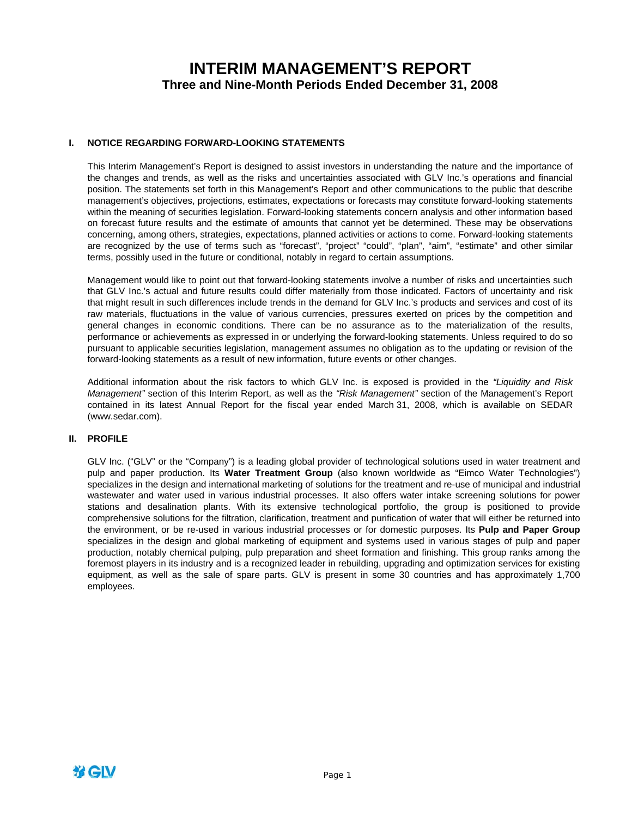# **INTERIM MANAGEMENT'S REPORT Three and Nine-Month Periods Ended December 31, 2008**

### **I. NOTICE REGARDING FORWARD-LOOKING STATEMENTS**

This Interim Management's Report is designed to assist investors in understanding the nature and the importance of the changes and trends, as well as the risks and uncertainties associated with GLV Inc.'s operations and financial position. The statements set forth in this Management's Report and other communications to the public that describe management's objectives, projections, estimates, expectations or forecasts may constitute forward-looking statements within the meaning of securities legislation. Forward-looking statements concern analysis and other information based on forecast future results and the estimate of amounts that cannot yet be determined. These may be observations concerning, among others, strategies, expectations, planned activities or actions to come. Forward-looking statements are recognized by the use of terms such as "forecast", "project" "could", "plan", "aim", "estimate" and other similar terms, possibly used in the future or conditional, notably in regard to certain assumptions.

Management would like to point out that forward-looking statements involve a number of risks and uncertainties such that GLV Inc.'s actual and future results could differ materially from those indicated. Factors of uncertainty and risk that might result in such differences include trends in the demand for GLV Inc.'s products and services and cost of its raw materials, fluctuations in the value of various currencies, pressures exerted on prices by the competition and general changes in economic conditions. There can be no assurance as to the materialization of the results, performance or achievements as expressed in or underlying the forward-looking statements. Unless required to do so pursuant to applicable securities legislation, management assumes no obligation as to the updating or revision of the forward-looking statements as a result of new information, future events or other changes.

Additional information about the risk factors to which GLV Inc. is exposed is provided in the *"Liquidity and Risk Management"* section of this Interim Report, as well as the *"Risk Management"* section of the Management's Report contained in its latest Annual Report for the fiscal year ended March 31, 2008, which is available on SEDAR (www.sedar.com).

### **II. PROFILE**

GLV Inc. ("GLV" or the "Company") is a leading global provider of technological solutions used in water treatment and pulp and paper production. Its **Water Treatment Group** (also known worldwide as "Eimco Water Technologies") specializes in the design and international marketing of solutions for the treatment and re-use of municipal and industrial wastewater and water used in various industrial processes. It also offers water intake screening solutions for power stations and desalination plants. With its extensive technological portfolio, the group is positioned to provide comprehensive solutions for the filtration, clarification, treatment and purification of water that will either be returned into the environment, or be re-used in various industrial processes or for domestic purposes. Its **Pulp and Paper Group** specializes in the design and global marketing of equipment and systems used in various stages of pulp and paper production, notably chemical pulping, pulp preparation and sheet formation and finishing. This group ranks among the foremost players in its industry and is a recognized leader in rebuilding, upgrading and optimization services for existing equipment, as well as the sale of spare parts. GLV is present in some 30 countries and has approximately 1,700 employees.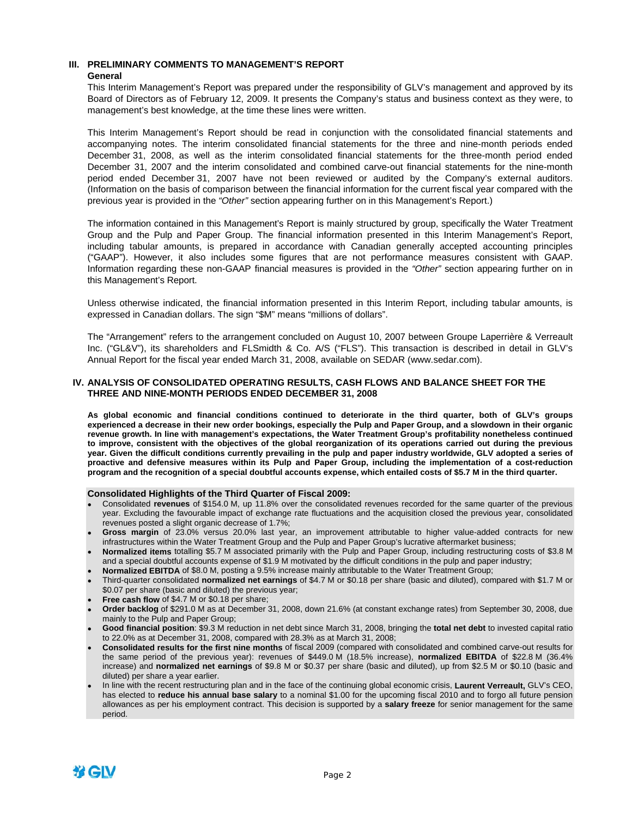### **III. PRELIMINARY COMMENTS TO MANAGEMENT'S REPORT**

### **General**

This Interim Management's Report was prepared under the responsibility of GLV's management and approved by its Board of Directors as of February 12, 2009. It presents the Company's status and business context as they were, to management's best knowledge, at the time these lines were written.

This Interim Management's Report should be read in conjunction with the consolidated financial statements and accompanying notes. The interim consolidated financial statements for the three and nine-month periods ended December 31, 2008, as well as the interim consolidated financial statements for the three-month period ended December 31, 2007 and the interim consolidated and combined carve-out financial statements for the nine-month period ended December 31, 2007 have not been reviewed or audited by the Company's external auditors. (Information on the basis of comparison between the financial information for the current fiscal year compared with the previous year is provided in the *"Other"* section appearing further on in this Management's Report.)

The information contained in this Management's Report is mainly structured by group, specifically the Water Treatment Group and the Pulp and Paper Group. The financial information presented in this Interim Management's Report, including tabular amounts, is prepared in accordance with Canadian generally accepted accounting principles ("GAAP"). However, it also includes some figures that are not performance measures consistent with GAAP. Information regarding these non-GAAP financial measures is provided in the *"Other"* section appearing further on in this Management's Report.

Unless otherwise indicated, the financial information presented in this Interim Report, including tabular amounts, is expressed in Canadian dollars. The sign "\$M" means "millions of dollars".

The "Arrangement" refers to the arrangement concluded on August 10, 2007 between Groupe Laperrière & Verreault Inc. ("GL&V"), its shareholders and FLSmidth & Co. A/S ("FLS"). This transaction is described in detail in GLV's Annual Report for the fiscal year ended March 31, 2008, available on SEDAR (www.sedar.com).

### **IV. ANALYSIS OF CONSOLIDATED OPERATING RESULTS, CASH FLOWS AND BALANCE SHEET FOR THE THREE AND NINE-MONTH PERIODS ENDED DECEMBER 31, 2008**

**As global economic and financial conditions continued to deteriorate in the third quarter, both of GLV's groups experienced a decrease in their new order bookings, especially the Pulp and Paper Group, and a slowdown in their organic revenue growth. In line with management's expectations, the Water Treatment Group's profitability nonetheless continued to improve, consistent with the objectives of the global reorganization of its operations carried out during the previous year. Given the difficult conditions currently prevailing in the pulp and paper industry worldwide, GLV adopted a series of proactive and defensive measures within its Pulp and Paper Group, including the implementation of a cost-reduction program and the recognition of a special doubtful accounts expense, which entailed costs of \$5.7 M in the third quarter.** 

### **Consolidated Highlights of the Third Quarter of Fiscal 2009:**

- Consolidated **revenues** of \$154.0 M, up 11.8% over the consolidated revenues recorded for the same quarter of the previous year. Excluding the favourable impact of exchange rate fluctuations and the acquisition closed the previous year, consolidated revenues posted a slight organic decrease of 1.7%;
- **Gross margin** of 23.0% versus 20.0% last year, an improvement attributable to higher value-added contracts for new infrastructures within the Water Treatment Group and the Pulp and Paper Group's lucrative aftermarket business;
- **Normalized items** totalling \$5.7 M associated primarily with the Pulp and Paper Group, including restructuring costs of \$3.8 M and a special doubtful accounts expense of \$1.9 M motivated by the difficult conditions in the pulp and paper industry;
- **Normalized EBITDA** of \$8.0 M, posting a 9.5% increase mainly attributable to the Water Treatment Group;
- Third-quarter consolidated **normalized net earnings** of \$4.7 M or \$0.18 per share (basic and diluted), compared with \$1.7 M or \$0.07 per share (basic and diluted) the previous year;
- **Free cash flow** of \$4.7 M or \$0.18 per share;
- **Order backlog** of \$291.0 M as at December 31, 2008, down 21.6% (at constant exchange rates) from September 30, 2008, due mainly to the Pulp and Paper Group;
- **Good financial position**: \$9.3 M reduction in net debt since March 31, 2008, bringing the **total net debt** to invested capital ratio to 22.0% as at December 31, 2008, compared with 28.3% as at March 31, 2008;
- **Consolidated results for the first nine months** of fiscal 2009 (compared with consolidated and combined carve-out results for the same period of the previous year): revenues of \$449.0 M (18.5% increase), **normalized EBITDA** of \$22.8 M (36.4% increase) and **normalized net earnings** of \$9.8 M or \$0.37 per share (basic and diluted), up from \$2.5 M or \$0.10 (basic and diluted) per share a year earlier.
- In line with the recent restructuring plan and in the face of the continuing global economic crisis, **Laurent Verreault,** GLV's CEO, has elected to **reduce his annual base salary** to a nominal \$1.00 for the upcoming fiscal 2010 and to forgo all future pension allowances as per his employment contract. This decision is supported by a **salary freeze** for senior management for the same period.

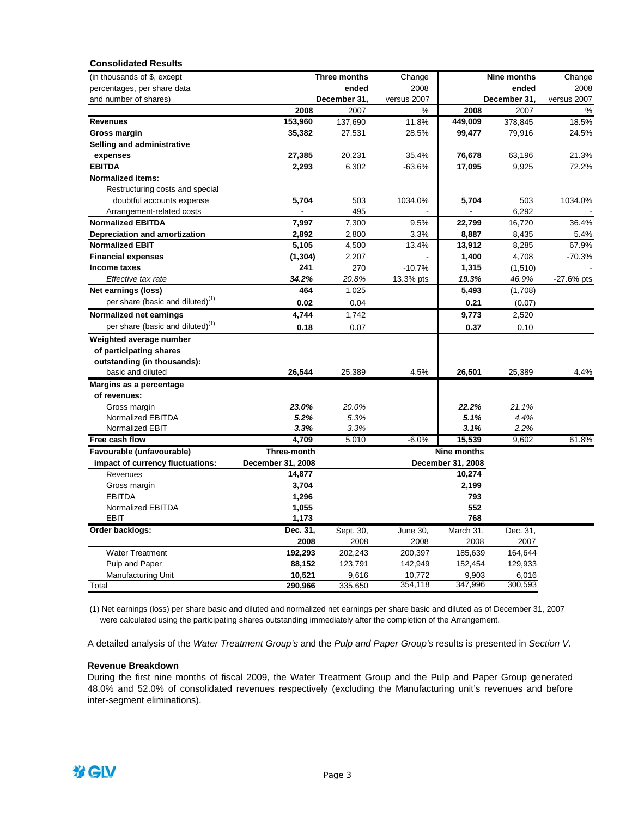| <b>Consolidated Results</b>                  |                   |              |             |                    |              |              |
|----------------------------------------------|-------------------|--------------|-------------|--------------------|--------------|--------------|
| (in thousands of \$, except                  |                   | Three months | Change      |                    | Nine months  | Change       |
| percentages, per share data                  |                   | ended        | 2008        |                    | ended        | 2008         |
| and number of shares)                        |                   | December 31, | versus 2007 |                    | December 31, | versus 2007  |
|                                              | 2008              | 2007         | %           | 2008               | 2007         | %            |
| <b>Revenues</b>                              | 153,960           | 137,690      | 11.8%       | 449,009            | 378,845      | 18.5%        |
| Gross margin                                 | 35,382            | 27,531       | 28.5%       | 99,477             | 79,916       | 24.5%        |
| Selling and administrative                   |                   |              |             |                    |              |              |
| expenses                                     | 27,385            | 20,231       | 35.4%       | 76,678             | 63,196       | 21.3%        |
| <b>EBITDA</b>                                | 2,293             | 6,302        | -63.6%      | 17,095             | 9,925        | 72.2%        |
| <b>Normalized items:</b>                     |                   |              |             |                    |              |              |
| Restructuring costs and special              |                   |              |             |                    |              |              |
| doubtful accounts expense                    | 5,704             | 503          | 1034.0%     | 5,704              | 503          | 1034.0%      |
| Arrangement-related costs                    |                   | 495          |             |                    | 6,292        |              |
| <b>Normalized EBITDA</b>                     | 7,997             | 7,300        | 9.5%        | 22,799             | 16,720       | 36.4%        |
| Depreciation and amortization                | 2,892             | 2,800        | 3.3%        | 8,887              | 8,435        | 5.4%         |
| <b>Normalized EBIT</b>                       | 5,105             | 4,500        | 13.4%       | 13,912             | 8,285        | 67.9%        |
| <b>Financial expenses</b>                    | (1, 304)          | 2,207        |             | 1,400              | 4,708        | $-70.3%$     |
| Income taxes                                 | 241               | 270          | $-10.7%$    | 1,315              | (1,510)      |              |
| Effective tax rate                           | 34.2%             | 20.8%        | 13.3% pts   | 19.3%              | 46.9%        | $-27.6%$ pts |
| Net earnings (loss)                          | 464               | 1,025        |             | 5,493              | (1,708)      |              |
| per share (basic and diluted) <sup>(1)</sup> | 0.02              |              |             |                    |              |              |
|                                              |                   | 0.04         |             | 0.21               | (0.07)       |              |
| Normalized net earnings                      | 4,744             | 1,742        |             | 9,773              | 2,520        |              |
| per share (basic and diluted) <sup>(1)</sup> | 0.18              | 0.07         |             | 0.37               | 0.10         |              |
| Weighted average number                      |                   |              |             |                    |              |              |
| of participating shares                      |                   |              |             |                    |              |              |
| outstanding (in thousands):                  |                   |              |             |                    |              |              |
| basic and diluted                            | 26,544            | 25,389       | 4.5%        | 26,501             | 25,389       | 4.4%         |
| Margins as a percentage                      |                   |              |             |                    |              |              |
| of revenues:                                 |                   |              |             |                    |              |              |
| Gross margin                                 | 23.0%             | 20.0%        |             | 22.2%              | 21.1%        |              |
| Normalized EBITDA                            | 5.2%              | 5.3%         |             | 5.1%               | 4.4%         |              |
| Normalized EBIT                              | 3.3%              | 3.3%         |             | 3.1%               | 2.2%         |              |
| Free cash flow                               | 4,709             | 5,010        | $-6.0%$     | 15,539             | 9,602        | 61.8%        |
| Favourable (unfavourable)                    | Three-month       |              |             | <b>Nine months</b> |              |              |
| impact of currency fluctuations:             | December 31, 2008 |              |             | December 31, 2008  |              |              |
| Revenues                                     | 14,877            |              |             | 10,274             |              |              |
| Gross margin                                 | 3,704             |              |             | 2,199              |              |              |
| <b>EBITDA</b>                                | 1,296             |              |             | 793                |              |              |
| Normalized EBITDA                            | 1,055             |              |             | 552                |              |              |
| <b>EBIT</b>                                  | 1,173             |              |             | 768                |              |              |
| Order backlogs:                              | Dec. 31,          | Sept. 30,    | June 30,    | March 31,          | Dec. 31,     |              |
|                                              | 2008              | 2008         | 2008        | 2008               | 2007         |              |
| <b>Water Treatment</b>                       | 192,293           | 202,243      | 200,397     | 185,639            | 164,644      |              |
| Pulp and Paper                               | 88,152            | 123,791      | 142,949     | 152,454            | 129,933      |              |
| <b>Manufacturing Unit</b>                    | 10,521            | 9,616        | 10,772      | 9,903              | 6,016        |              |
| Total                                        | 290,966           | 335,650      | 354,118     | 347,996            | 300,593      |              |

(1) Net earnings (loss) per share basic and diluted and normalized net earnings per share basic and diluted as of December 31, 2007 were calculated using the participating shares outstanding immediately after the completion of the Arrangement.

A detailed analysis of the *Water Treatment Group's* and the *Pulp and Paper Group's* results is presented in *Section V.* 

### **Revenue Breakdown**

During the first nine months of fiscal 2009, the Water Treatment Group and the Pulp and Paper Group generated 48.0% and 52.0% of consolidated revenues respectively (excluding the Manufacturing unit's revenues and before inter-segment eliminations).

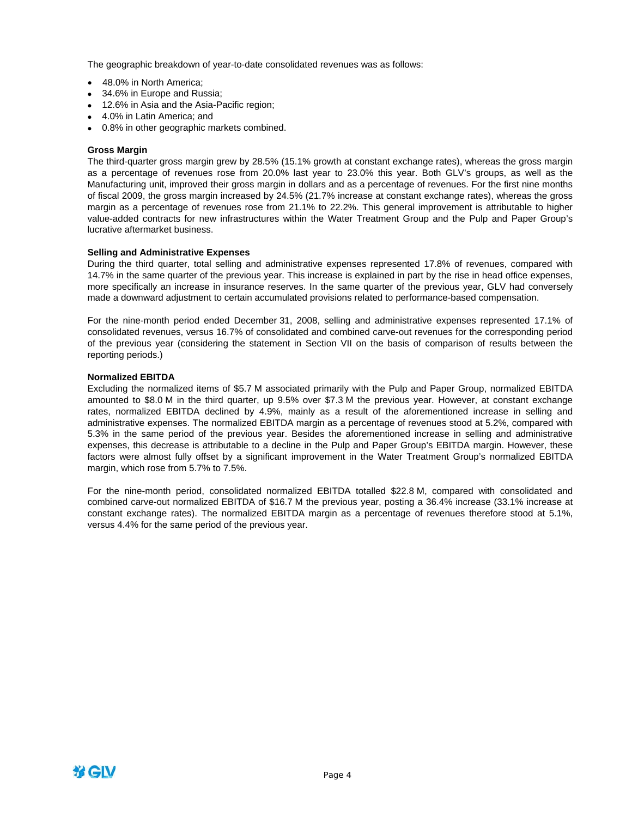The geographic breakdown of year-to-date consolidated revenues was as follows:

- 48.0% in North America;
- 34.6% in Europe and Russia:
- 12.6% in Asia and the Asia-Pacific region;
- 4.0% in Latin America; and
- 0.8% in other geographic markets combined.

### **Gross Margin**

The third-quarter gross margin grew by 28.5% (15.1% growth at constant exchange rates), whereas the gross margin as a percentage of revenues rose from 20.0% last year to 23.0% this year. Both GLV's groups, as well as the Manufacturing unit, improved their gross margin in dollars and as a percentage of revenues. For the first nine months of fiscal 2009, the gross margin increased by 24.5% (21.7% increase at constant exchange rates), whereas the gross margin as a percentage of revenues rose from 21.1% to 22.2%. This general improvement is attributable to higher value-added contracts for new infrastructures within the Water Treatment Group and the Pulp and Paper Group's lucrative aftermarket business.

#### **Selling and Administrative Expenses**

During the third quarter, total selling and administrative expenses represented 17.8% of revenues, compared with 14.7% in the same quarter of the previous year. This increase is explained in part by the rise in head office expenses, more specifically an increase in insurance reserves. In the same quarter of the previous year, GLV had conversely made a downward adjustment to certain accumulated provisions related to performance-based compensation.

For the nine-month period ended December 31, 2008, selling and administrative expenses represented 17.1% of consolidated revenues, versus 16.7% of consolidated and combined carve-out revenues for the corresponding period of the previous year (considering the statement in Section VII on the basis of comparison of results between the reporting periods.)

### **Normalized EBITDA**

Excluding the normalized items of \$5.7 M associated primarily with the Pulp and Paper Group, normalized EBITDA amounted to \$8.0 M in the third quarter, up 9.5% over \$7.3 M the previous year. However, at constant exchange rates, normalized EBITDA declined by 4.9%, mainly as a result of the aforementioned increase in selling and administrative expenses. The normalized EBITDA margin as a percentage of revenues stood at 5.2%, compared with 5.3% in the same period of the previous year. Besides the aforementioned increase in selling and administrative expenses, this decrease is attributable to a decline in the Pulp and Paper Group's EBITDA margin. However, these factors were almost fully offset by a significant improvement in the Water Treatment Group's normalized EBITDA margin, which rose from 5.7% to 7.5%.

For the nine-month period, consolidated normalized EBITDA totalled \$22.8 M, compared with consolidated and combined carve-out normalized EBITDA of \$16.7 M the previous year, posting a 36.4% increase (33.1% increase at constant exchange rates). The normalized EBITDA margin as a percentage of revenues therefore stood at 5.1%, versus 4.4% for the same period of the previous year.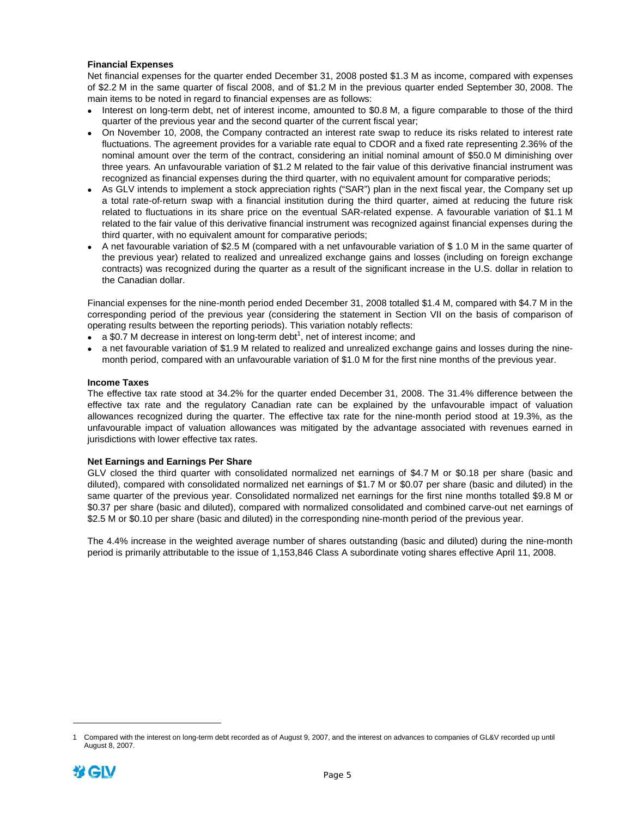### **Financial Expenses**

Net financial expenses for the quarter ended December 31, 2008 posted \$1.3 M as income, compared with expenses of \$2.2 M in the same quarter of fiscal 2008, and of \$1.2 M in the previous quarter ended September 30, 2008. The main items to be noted in regard to financial expenses are as follows:

- Interest on long-term debt, net of interest income, amounted to \$0.8 M, a figure comparable to those of the third quarter of the previous year and the second quarter of the current fiscal year;
- On November 10, 2008, the Company contracted an interest rate swap to reduce its risks related to interest rate fluctuations. The agreement provides for a variable rate equal to CDOR and a fixed rate representing 2.36% of the nominal amount over the term of the contract, considering an initial nominal amount of \$50.0 M diminishing over three years*.* An unfavourable variation of \$1.2 M related to the fair value of this derivative financial instrument was recognized as financial expenses during the third quarter, with no equivalent amount for comparative periods;
- As GLV intends to implement a stock appreciation rights ("SAR") plan in the next fiscal year, the Company set up a total rate-of-return swap with a financial institution during the third quarter, aimed at reducing the future risk related to fluctuations in its share price on the eventual SAR-related expense. A favourable variation of \$1.1 M related to the fair value of this derivative financial instrument was recognized against financial expenses during the third quarter, with no equivalent amount for comparative periods;
- A net favourable variation of \$2.5 M (compared with a net unfavourable variation of \$ 1.0 M in the same quarter of the previous year) related to realized and unrealized exchange gains and losses (including on foreign exchange contracts) was recognized during the quarter as a result of the significant increase in the U.S. dollar in relation to the Canadian dollar.

Financial expenses for the nine-month period ended December 31, 2008 totalled \$1.4 M, compared with \$4.7 M in the corresponding period of the previous year (considering the statement in Section VII on the basis of comparison of operating results between the reporting periods). This variation notably reflects:

- $\bullet$  a \$0.7 M decrease in interest on long-term debt<sup>1</sup>, net of interest income; and
- a net favourable variation of \$1.9 M related to realized and unrealized exchange gains and losses during the ninemonth period, compared with an unfavourable variation of \$1.0 M for the first nine months of the previous year.

### **Income Taxes**

The effective tax rate stood at 34.2% for the quarter ended December 31, 2008. The 31.4% difference between the effective tax rate and the regulatory Canadian rate can be explained by the unfavourable impact of valuation allowances recognized during the quarter. The effective tax rate for the nine-month period stood at 19.3%, as the unfavourable impact of valuation allowances was mitigated by the advantage associated with revenues earned in jurisdictions with lower effective tax rates.

### **Net Earnings and Earnings Per Share**

GLV closed the third quarter with consolidated normalized net earnings of \$4.7 M or \$0.18 per share (basic and diluted), compared with consolidated normalized net earnings of \$1.7 M or \$0.07 per share (basic and diluted) in the same quarter of the previous year. Consolidated normalized net earnings for the first nine months totalled \$9.8 M or \$0.37 per share (basic and diluted), compared with normalized consolidated and combined carve-out net earnings of \$2.5 M or \$0.10 per share (basic and diluted) in the corresponding nine-month period of the previous year.

The 4.4% increase in the weighted average number of shares outstanding (basic and diluted) during the nine-month period is primarily attributable to the issue of 1,153,846 Class A subordinate voting shares effective April 11, 2008.

<sup>1</sup> Compared with the interest on long-term debt recorded as of August 9, 2007, and the interest on advances to companies of GL&V recorded up until August 8, 2007.



 $\overline{a}$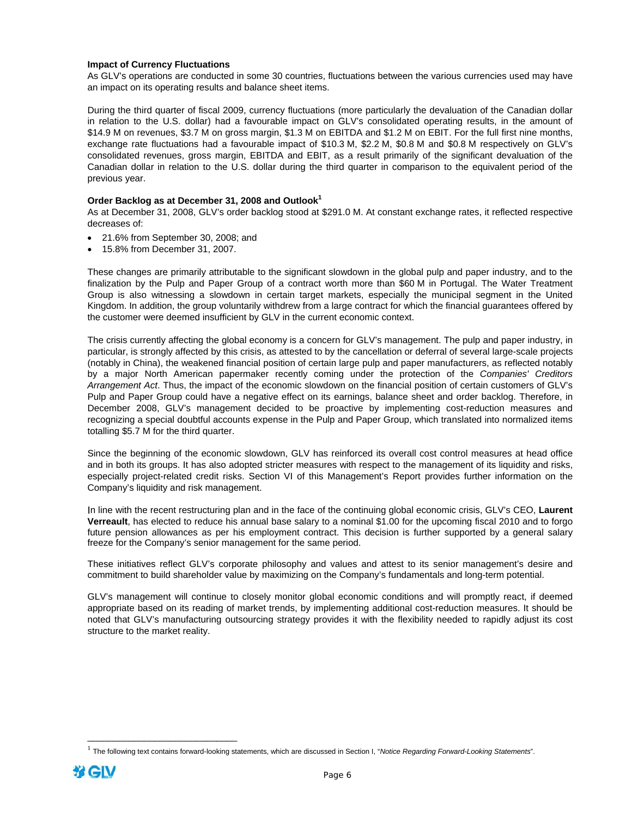### **Impact of Currency Fluctuations**

As GLV's operations are conducted in some 30 countries, fluctuations between the various currencies used may have an impact on its operating results and balance sheet items.

During the third quarter of fiscal 2009, currency fluctuations (more particularly the devaluation of the Canadian dollar in relation to the U.S. dollar) had a favourable impact on GLV's consolidated operating results, in the amount of \$14.9 M on revenues, \$3.7 M on gross margin, \$1.3 M on EBITDA and \$1.2 M on EBIT. For the full first nine months, exchange rate fluctuations had a favourable impact of \$10.3 M, \$2.2 M, \$0.8 M and \$0.8 M respectively on GLV's consolidated revenues, gross margin, EBITDA and EBIT, as a result primarily of the significant devaluation of the Canadian dollar in relation to the U.S. dollar during the third quarter in comparison to the equivalent period of the previous year.

### **Order Backlog as at December 31, 2008 and Outlook1**

As at December 31, 2008, GLV's order backlog stood at \$291.0 M. At constant exchange rates, it reflected respective decreases of:

- 21.6% from September 30, 2008; and
- 15.8% from December 31, 2007.

These changes are primarily attributable to the significant slowdown in the global pulp and paper industry, and to the finalization by the Pulp and Paper Group of a contract worth more than \$60 M in Portugal. The Water Treatment Group is also witnessing a slowdown in certain target markets, especially the municipal segment in the United Kingdom. In addition, the group voluntarily withdrew from a large contract for which the financial guarantees offered by the customer were deemed insufficient by GLV in the current economic context.

The crisis currently affecting the global economy is a concern for GLV's management. The pulp and paper industry, in particular, is strongly affected by this crisis, as attested to by the cancellation or deferral of several large-scale projects (notably in China), the weakened financial position of certain large pulp and paper manufacturers, as reflected notably by a major North American papermaker recently coming under the protection of the *Companies' Creditors Arrangement Act*. Thus, the impact of the economic slowdown on the financial position of certain customers of GLV's Pulp and Paper Group could have a negative effect on its earnings, balance sheet and order backlog. Therefore, in December 2008, GLV's management decided to be proactive by implementing cost-reduction measures and recognizing a special doubtful accounts expense in the Pulp and Paper Group, which translated into normalized items totalling \$5.7 M for the third quarter.

Since the beginning of the economic slowdown, GLV has reinforced its overall cost control measures at head office and in both its groups. It has also adopted stricter measures with respect to the management of its liquidity and risks, especially project-related credit risks. Section VI of this Management's Report provides further information on the Company's liquidity and risk management.

In line with the recent restructuring plan and in the face of the continuing global economic crisis, GLV's CEO, **Laurent Verreault**, has elected to reduce his annual base salary to a nominal \$1.00 for the upcoming fiscal 2010 and to forgo future pension allowances as per his employment contract. This decision is further supported by a general salary freeze for the Company's senior management for the same period.

These initiatives reflect GLV's corporate philosophy and values and attest to its senior management's desire and commitment to build shareholder value by maximizing on the Company's fundamentals and long-term potential.

GLV's management will continue to closely monitor global economic conditions and will promptly react, if deemed appropriate based on its reading of market trends, by implementing additional cost-reduction measures. It should be noted that GLV's manufacturing outsourcing strategy provides it with the flexibility needed to rapidly adjust its cost structure to the market reality.

\_\_\_\_\_\_\_\_\_\_\_\_\_\_\_\_\_\_\_\_\_\_\_\_\_\_\_\_\_

<sup>1</sup> The following text contains forward-looking statements, which are discussed in Section I, "*Notice Regarding Forward-Looking Statements*".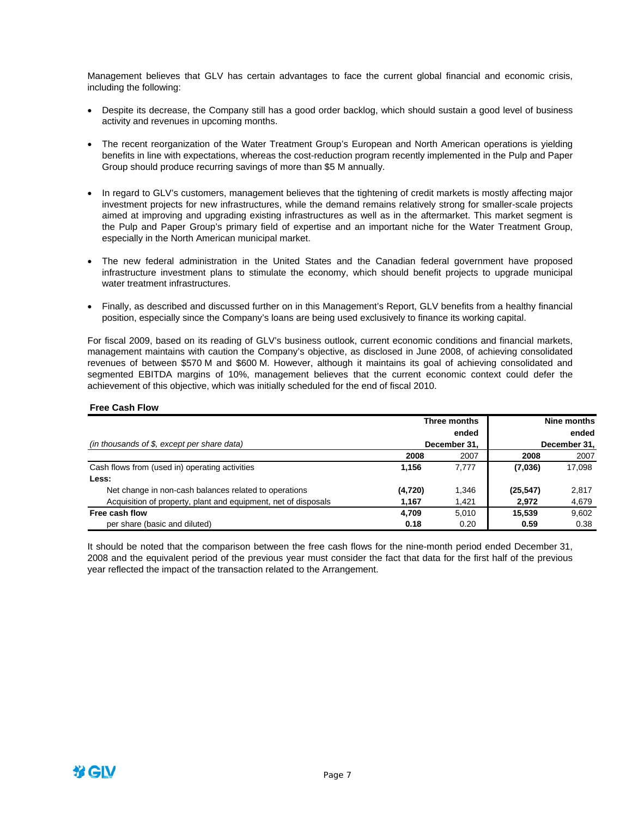Management believes that GLV has certain advantages to face the current global financial and economic crisis, including the following:

- Despite its decrease, the Company still has a good order backlog, which should sustain a good level of business activity and revenues in upcoming months.
- The recent reorganization of the Water Treatment Group's European and North American operations is yielding benefits in line with expectations, whereas the cost-reduction program recently implemented in the Pulp and Paper Group should produce recurring savings of more than \$5 M annually.
- In regard to GLV's customers, management believes that the tightening of credit markets is mostly affecting major investment projects for new infrastructures, while the demand remains relatively strong for smaller-scale projects aimed at improving and upgrading existing infrastructures as well as in the aftermarket. This market segment is the Pulp and Paper Group's primary field of expertise and an important niche for the Water Treatment Group, especially in the North American municipal market.
- The new federal administration in the United States and the Canadian federal government have proposed infrastructure investment plans to stimulate the economy, which should benefit projects to upgrade municipal water treatment infrastructures.
- Finally, as described and discussed further on in this Management's Report, GLV benefits from a healthy financial position, especially since the Company's loans are being used exclusively to finance its working capital.

For fiscal 2009, based on its reading of GLV's business outlook, current economic conditions and financial markets, management maintains with caution the Company's objective, as disclosed in June 2008, of achieving consolidated revenues of between \$570 M and \$600 M. However, although it maintains its goal of achieving consolidated and segmented EBITDA margins of 10%, management believes that the current economic context could defer the achievement of this objective, which was initially scheduled for the end of fiscal 2010.

|                                                                |         | Three months |           | Nine months  |
|----------------------------------------------------------------|---------|--------------|-----------|--------------|
|                                                                |         | ended        |           | ended        |
| (in thousands of $$$ , except per share data)                  |         | December 31. |           | December 31, |
|                                                                | 2008    | 2007         | 2008      | 2007         |
| Cash flows from (used in) operating activities                 | 1.156   | 7.777        | (7,036)   | 17,098       |
| Less:                                                          |         |              |           |              |
| Net change in non-cash balances related to operations          | (4,720) | 1,346        | (25, 547) | 2,817        |
| Acquisition of property, plant and equipment, net of disposals | 1,167   | 1,421        | 2,972     | 4,679        |
| Free cash flow                                                 | 4.709   | 5.010        | 15.539    | 9,602        |
| per share (basic and diluted)                                  | 0.18    | 0.20         | 0.59      | 0.38         |

It should be noted that the comparison between the free cash flows for the nine-month period ended December 31, 2008 and the equivalent period of the previous year must consider the fact that data for the first half of the previous year reflected the impact of the transaction related to the Arrangement.

投GIV

**Free Cash Flow**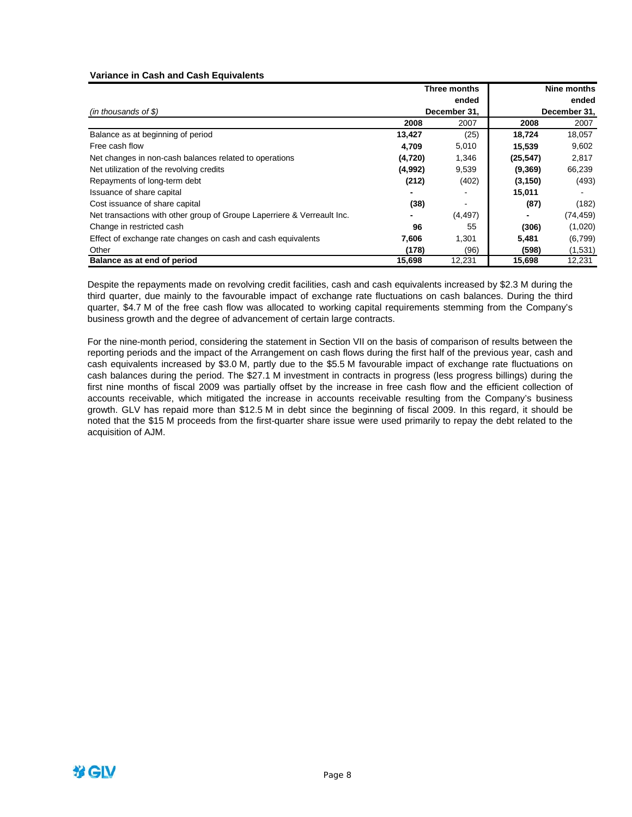### **Variance in Cash and Cash Equivalents**

|                                                                         |         | Three months |                          | Nine months  |
|-------------------------------------------------------------------------|---------|--------------|--------------------------|--------------|
|                                                                         |         | ended        |                          | ended        |
| $(in$ thousands of \$)                                                  |         | December 31, |                          | December 31, |
|                                                                         | 2008    | 2007         | 2008                     | 2007         |
| Balance as at beginning of period                                       | 13,427  | (25)         | 18,724                   | 18,057       |
| Free cash flow                                                          | 4,709   | 5,010        | 15,539                   | 9,602        |
| Net changes in non-cash balances related to operations                  | (4,720) | 1,346        | (25, 547)                | 2,817        |
| Net utilization of the revolving credits                                | (4,992) | 9,539        | (9,369)                  | 66,239       |
| Repayments of long-term debt                                            | (212)   | (402)        | (3, 150)                 | (493)        |
| Issuance of share capital                                               |         |              | 15,011                   |              |
| Cost issuance of share capital                                          | (38)    |              | (87)                     | (182)        |
| Net transactions with other group of Groupe Laperriere & Verreault Inc. | -       | (4, 497)     | $\overline{\phantom{0}}$ | (74, 459)    |
| Change in restricted cash                                               | 96      | 55           | (306)                    | (1,020)      |
| Effect of exchange rate changes on cash and cash equivalents            | 7,606   | 1,301        | 5,481                    | (6,799)      |
| Other                                                                   | (178)   | (96)         | (598)                    | (1,531)      |
| Balance as at end of period                                             | 15,698  | 12,231       | 15,698                   | 12,231       |

Despite the repayments made on revolving credit facilities, cash and cash equivalents increased by \$2.3 M during the third quarter, due mainly to the favourable impact of exchange rate fluctuations on cash balances. During the third quarter, \$4.7 M of the free cash flow was allocated to working capital requirements stemming from the Company's business growth and the degree of advancement of certain large contracts.

For the nine-month period, considering the statement in Section VII on the basis of comparison of results between the reporting periods and the impact of the Arrangement on cash flows during the first half of the previous year, cash and cash equivalents increased by \$3.0 M, partly due to the \$5.5 M favourable impact of exchange rate fluctuations on cash balances during the period. The \$27.1 M investment in contracts in progress (less progress billings) during the first nine months of fiscal 2009 was partially offset by the increase in free cash flow and the efficient collection of accounts receivable, which mitigated the increase in accounts receivable resulting from the Company's business growth. GLV has repaid more than \$12.5 M in debt since the beginning of fiscal 2009. In this regard, it should be noted that the \$15 M proceeds from the first-quarter share issue were used primarily to repay the debt related to the acquisition of AJM.

梦GIV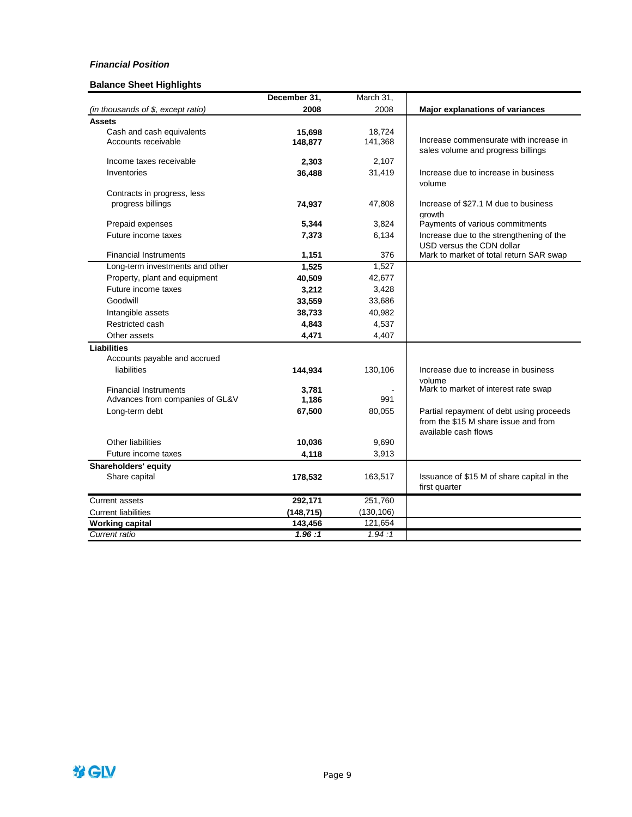### *Financial Position*

### **Balance Sheet Highlights**

|                                    | December 31, | March 31,  |                                                |
|------------------------------------|--------------|------------|------------------------------------------------|
| (in thousands of \$, except ratio) | 2008         | 2008       | Major explanations of variances                |
| <b>Assets</b>                      |              |            |                                                |
| Cash and cash equivalents          | 15,698       | 18,724     |                                                |
| Accounts receivable                | 148,877      | 141,368    | Increase commensurate with increase in         |
|                                    |              |            | sales volume and progress billings             |
| Income taxes receivable            | 2,303        | 2,107      |                                                |
| Inventories                        | 36,488       | 31,419     | Increase due to increase in business           |
|                                    |              |            | volume                                         |
| Contracts in progress, less        |              |            |                                                |
| progress billings                  | 74,937       | 47,808     | Increase of \$27.1 M due to business<br>arowth |
| Prepaid expenses                   | 5,344        | 3,824      | Payments of various commitments                |
| Future income taxes                | 7,373        | 6,134      | Increase due to the strengthening of the       |
|                                    |              |            | USD versus the CDN dollar                      |
| <b>Financial Instruments</b>       | 1,151        | 376        | Mark to market of total return SAR swap        |
| Long-term investments and other    | 1,525        | 1,527      |                                                |
| Property, plant and equipment      | 40,509       | 42,677     |                                                |
| Future income taxes                | 3,212        | 3,428      |                                                |
| Goodwill                           | 33,559       | 33,686     |                                                |
| Intangible assets                  | 38,733       | 40,982     |                                                |
| Restricted cash                    | 4,843        | 4,537      |                                                |
| Other assets                       | 4,471        | 4,407      |                                                |
| Liabilities                        |              |            |                                                |
| Accounts payable and accrued       |              |            |                                                |
| liabilities                        | 144,934      | 130,106    | Increase due to increase in business           |
|                                    |              |            | volume                                         |
| <b>Financial Instruments</b>       | 3,781        |            | Mark to market of interest rate swap           |
| Advances from companies of GL&V    | 1,186        | 991        |                                                |
| Long-term debt                     | 67,500       | 80,055     | Partial repayment of debt using proceeds       |
|                                    |              |            | from the \$15 M share issue and from           |
|                                    |              |            | available cash flows                           |
| <b>Other liabilities</b>           | 10,036       | 9,690      |                                                |
| Future income taxes                | 4,118        | 3,913      |                                                |
| Shareholders' equity               |              |            |                                                |
| Share capital                      | 178,532      | 163,517    | Issuance of \$15 M of share capital in the     |
|                                    |              |            | first quarter                                  |
| <b>Current assets</b>              | 292,171      | 251,760    |                                                |
| <b>Current liabilities</b>         | (148, 715)   | (130, 106) |                                                |
| <b>Working capital</b>             | 143,456      | 121,654    |                                                |
| Current ratio                      | 1.96:1       | 1.94:1     |                                                |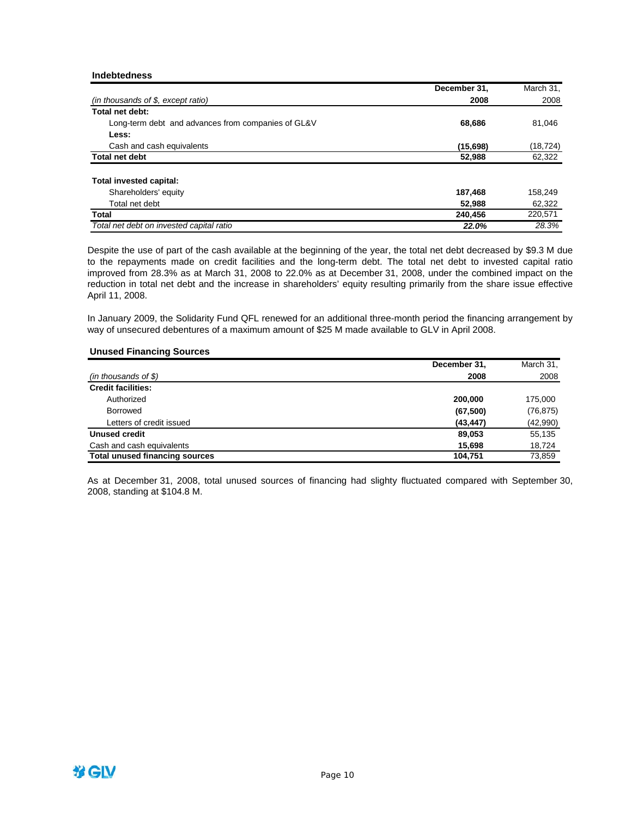### **Indebtedness**

|                                                    | December 31. | March 31, |
|----------------------------------------------------|--------------|-----------|
| $(in$ thousands of \$, except ratio)               | 2008         | 2008      |
| Total net debt:                                    |              |           |
| Long-term debt and advances from companies of GL&V | 68,686       | 81,046    |
| Less:                                              |              |           |
| Cash and cash equivalents                          | (15,698)     | (18, 724) |
| <b>Total net debt</b>                              | 52,988       | 62,322    |
| Total invested capital:                            |              |           |
| Shareholders' equity                               | 187,468      | 158.249   |
| Total net debt                                     | 52,988       | 62,322    |
| Total                                              | 240.456      | 220,571   |
| Total net debt on invested capital ratio           | 22.0%        | 28.3%     |

Despite the use of part of the cash available at the beginning of the year, the total net debt decreased by \$9.3 M due to the repayments made on credit facilities and the long-term debt. The total net debt to invested capital ratio improved from 28.3% as at March 31, 2008 to 22.0% as at December 31, 2008, under the combined impact on the reduction in total net debt and the increase in shareholders' equity resulting primarily from the share issue effective April 11, 2008.

In January 2009, the Solidarity Fund QFL renewed for an additional three-month period the financing arrangement by way of unsecured debentures of a maximum amount of \$25 M made available to GLV in April 2008.

### **Unused Financing Sources**

|                                       | December 31, | March 31, |
|---------------------------------------|--------------|-----------|
| $(in$ thousands of \$)                | 2008         | 2008      |
| <b>Credit facilities:</b>             |              |           |
| Authorized                            | 200,000      | 175,000   |
| <b>Borrowed</b>                       | (67, 500)    | (76, 875) |
| Letters of credit issued              | (43, 447)    | (42,990)  |
| Unused credit                         | 89,053       | 55,135    |
| Cash and cash equivalents             | 15.698       | 18,724    |
| <b>Total unused financing sources</b> | 104.751      | 73,859    |

As at December 31, 2008, total unused sources of financing had slighty fluctuated compared with September 30, 2008, standing at \$104.8 M.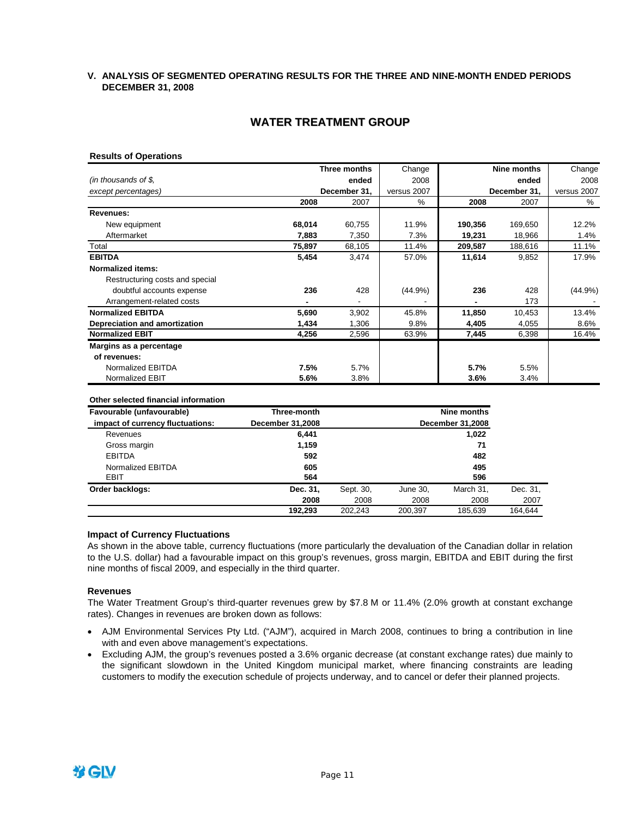### **V. ANALYSIS OF SEGMENTED OPERATING RESULTS FOR THE THREE AND NINE-MONTH ENDED PERIODS DECEMBER 31, 2008**

# **WATER TREATMENT GROUP**

### **Results of Operations**

|                                 |        | Three months | Change      |         | Nine months  | Change      |
|---------------------------------|--------|--------------|-------------|---------|--------------|-------------|
| (in thousands of \$,            |        | ended        | 2008        |         | ended        | 2008        |
| except percentages)             |        | December 31, | versus 2007 |         | December 31, | versus 2007 |
|                                 | 2008   | 2007         | %           | 2008    | 2007         | %           |
| Revenues:                       |        |              |             |         |              |             |
| New equipment                   | 68,014 | 60,755       | 11.9%       | 190,356 | 169,650      | 12.2%       |
| Aftermarket                     | 7,883  | 7,350        | 7.3%        | 19,231  | 18,966       | 1.4%        |
| Total                           | 75,897 | 68,105       | 11.4%       | 209,587 | 188,616      | 11.1%       |
| <b>EBITDA</b>                   | 5,454  | 3,474        | 57.0%       | 11,614  | 9,852        | 17.9%       |
| <b>Normalized items:</b>        |        |              |             |         |              |             |
| Restructuring costs and special |        |              |             |         |              |             |
| doubtful accounts expense       | 236    | 428          | $(44.9\%)$  | 236     | 428          | $(44.9\%)$  |
| Arrangement-related costs       |        |              |             |         | 173          |             |
| <b>Normalized EBITDA</b>        | 5,690  | 3,902        | 45.8%       | 11,850  | 10,453       | 13.4%       |
| Depreciation and amortization   | 1,434  | 1,306        | 9.8%        | 4,405   | 4,055        | 8.6%        |
| <b>Normalized EBIT</b>          | 4,256  | 2,596        | 63.9%       | 7,445   | 6,398        | 16.4%       |
| Margins as a percentage         |        |              |             |         |              |             |
| of revenues:                    |        |              |             |         |              |             |
| Normalized EBITDA               | 7.5%   | 5.7%         |             | 5.7%    | 5.5%         |             |
| Normalized EBIT                 | 5.6%   | 3.8%         |             | $3.6\%$ | 3.4%         |             |

#### **Other selected financial information**

| Favourable (unfavourable)        | Three-month             | Nine months |          |                         |          |
|----------------------------------|-------------------------|-------------|----------|-------------------------|----------|
| impact of currency fluctuations: | <b>December 31,2008</b> |             |          | <b>December 31,2008</b> |          |
| Revenues                         | 6.441                   |             |          | 1,022                   |          |
| Gross margin                     | 1,159                   |             |          | 71                      |          |
| <b>EBITDA</b>                    | 592                     |             |          | 482                     |          |
| Normalized EBITDA                | 605                     |             |          | 495                     |          |
| EBIT                             | 564                     |             |          | 596                     |          |
| Order backlogs:                  | Dec. 31,                | Sept. 30,   | June 30, | March 31.               | Dec. 31, |
|                                  | 2008                    | 2008        | 2008     | 2008                    | 2007     |
|                                  | 192.293                 | 202.243     | 200.397  | 185.639                 | 164.644  |

### **Impact of Currency Fluctuations**

As shown in the above table, currency fluctuations (more particularly the devaluation of the Canadian dollar in relation to the U.S. dollar) had a favourable impact on this group's revenues, gross margin, EBITDA and EBIT during the first nine months of fiscal 2009, and especially in the third quarter.

### **Revenues**

The Water Treatment Group's third-quarter revenues grew by \$7.8 M or 11.4% (2.0% growth at constant exchange rates). Changes in revenues are broken down as follows:

- AJM Environmental Services Pty Ltd. ("AJM"), acquired in March 2008, continues to bring a contribution in line with and even above management's expectations.
- Excluding AJM, the group's revenues posted a 3.6% organic decrease (at constant exchange rates) due mainly to the significant slowdown in the United Kingdom municipal market, where financing constraints are leading customers to modify the execution schedule of projects underway, and to cancel or defer their planned projects.

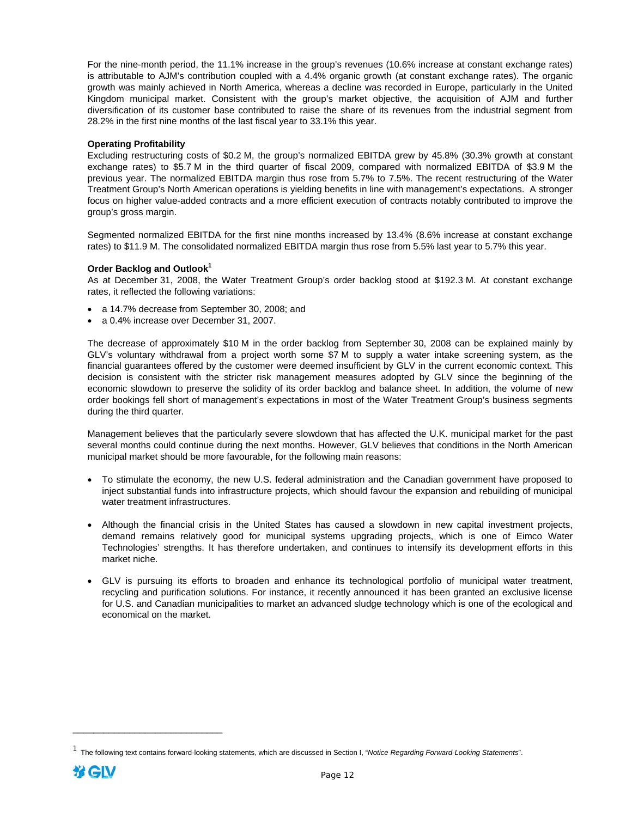For the nine-month period, the 11.1% increase in the group's revenues (10.6% increase at constant exchange rates) is attributable to AJM's contribution coupled with a 4.4% organic growth (at constant exchange rates). The organic growth was mainly achieved in North America, whereas a decline was recorded in Europe, particularly in the United Kingdom municipal market. Consistent with the group's market objective, the acquisition of AJM and further diversification of its customer base contributed to raise the share of its revenues from the industrial segment from 28.2% in the first nine months of the last fiscal year to 33.1% this year.

### **Operating Profitability**

Excluding restructuring costs of \$0.2 M, the group's normalized EBITDA grew by 45.8% (30.3% growth at constant exchange rates) to \$5.7 M in the third quarter of fiscal 2009, compared with normalized EBITDA of \$3.9 M the previous year. The normalized EBITDA margin thus rose from 5.7% to 7.5%. The recent restructuring of the Water Treatment Group's North American operations is yielding benefits in line with management's expectations. A stronger focus on higher value-added contracts and a more efficient execution of contracts notably contributed to improve the group's gross margin.

Segmented normalized EBITDA for the first nine months increased by 13.4% (8.6% increase at constant exchange rates) to \$11.9 M. The consolidated normalized EBITDA margin thus rose from 5.5% last year to 5.7% this year.

### **Order Backlog and Outlook1**

As at December 31, 2008, the Water Treatment Group's order backlog stood at \$192.3 M. At constant exchange rates, it reflected the following variations:

- a 14.7% decrease from September 30, 2008; and
- a 0.4% increase over December 31, 2007.

The decrease of approximately \$10 M in the order backlog from September 30, 2008 can be explained mainly by GLV's voluntary withdrawal from a project worth some \$7 M to supply a water intake screening system, as the financial guarantees offered by the customer were deemed insufficient by GLV in the current economic context. This decision is consistent with the stricter risk management measures adopted by GLV since the beginning of the economic slowdown to preserve the solidity of its order backlog and balance sheet. In addition, the volume of new order bookings fell short of management's expectations in most of the Water Treatment Group's business segments during the third quarter.

Management believes that the particularly severe slowdown that has affected the U.K. municipal market for the past several months could continue during the next months. However, GLV believes that conditions in the North American municipal market should be more favourable, for the following main reasons:

- To stimulate the economy, the new U.S. federal administration and the Canadian government have proposed to inject substantial funds into infrastructure projects, which should favour the expansion and rebuilding of municipal water treatment infrastructures.
- Although the financial crisis in the United States has caused a slowdown in new capital investment projects, demand remains relatively good for municipal systems upgrading projects, which is one of Eimco Water Technologies' strengths. It has therefore undertaken, and continues to intensify its development efforts in this market niche.
- GLV is pursuing its efforts to broaden and enhance its technological portfolio of municipal water treatment, recycling and purification solutions. For instance, it recently announced it has been granted an exclusive license for U.S. and Canadian municipalities to market an advanced sludge technology which is one of the ecological and economical on the market.

\_\_\_\_\_\_\_\_\_\_\_\_\_\_\_\_\_\_\_\_\_\_\_\_\_\_\_\_\_

<sup>1</sup> The following text contains forward-looking statements, which are discussed in Section I, "*Notice Regarding Forward-Looking Statements*".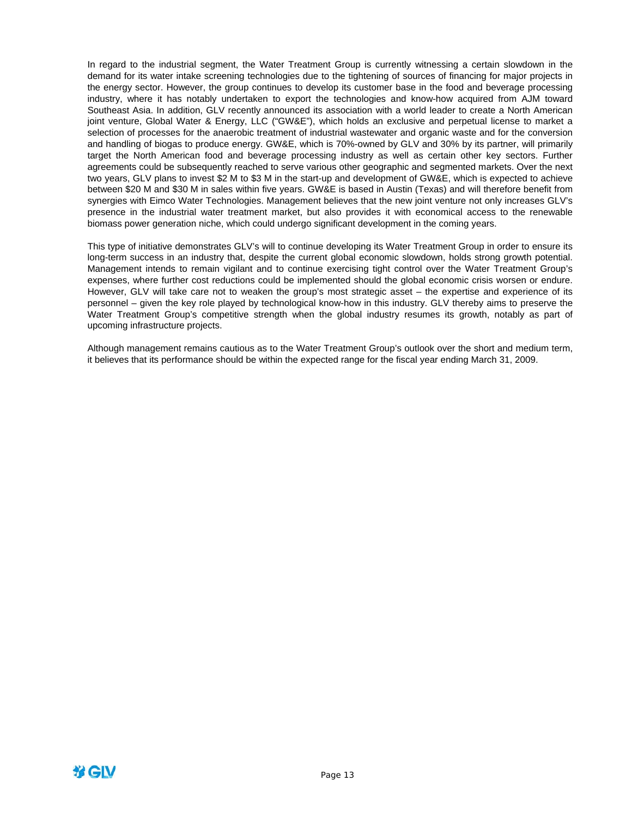In regard to the industrial segment, the Water Treatment Group is currently witnessing a certain slowdown in the demand for its water intake screening technologies due to the tightening of sources of financing for major projects in the energy sector. However, the group continues to develop its customer base in the food and beverage processing industry, where it has notably undertaken to export the technologies and know-how acquired from AJM toward Southeast Asia. In addition, GLV recently announced its association with a world leader to create a North American joint venture, Global Water & Energy, LLC ("GW&E"), which holds an exclusive and perpetual license to market a selection of processes for the anaerobic treatment of industrial wastewater and organic waste and for the conversion and handling of biogas to produce energy. GW&E, which is 70%-owned by GLV and 30% by its partner, will primarily target the North American food and beverage processing industry as well as certain other key sectors. Further agreements could be subsequently reached to serve various other geographic and segmented markets. Over the next two years, GLV plans to invest \$2 M to \$3 M in the start-up and development of GW&E, which is expected to achieve between \$20 M and \$30 M in sales within five years. GW&E is based in Austin (Texas) and will therefore benefit from synergies with Eimco Water Technologies. Management believes that the new joint venture not only increases GLV's presence in the industrial water treatment market, but also provides it with economical access to the renewable biomass power generation niche, which could undergo significant development in the coming years.

This type of initiative demonstrates GLV's will to continue developing its Water Treatment Group in order to ensure its long-term success in an industry that, despite the current global economic slowdown, holds strong growth potential. Management intends to remain vigilant and to continue exercising tight control over the Water Treatment Group's expenses, where further cost reductions could be implemented should the global economic crisis worsen or endure. However, GLV will take care not to weaken the group's most strategic asset – the expertise and experience of its personnel – given the key role played by technological know-how in this industry. GLV thereby aims to preserve the Water Treatment Group's competitive strength when the global industry resumes its growth, notably as part of upcoming infrastructure projects.

Although management remains cautious as to the Water Treatment Group's outlook over the short and medium term, it believes that its performance should be within the expected range for the fiscal year ending March 31, 2009.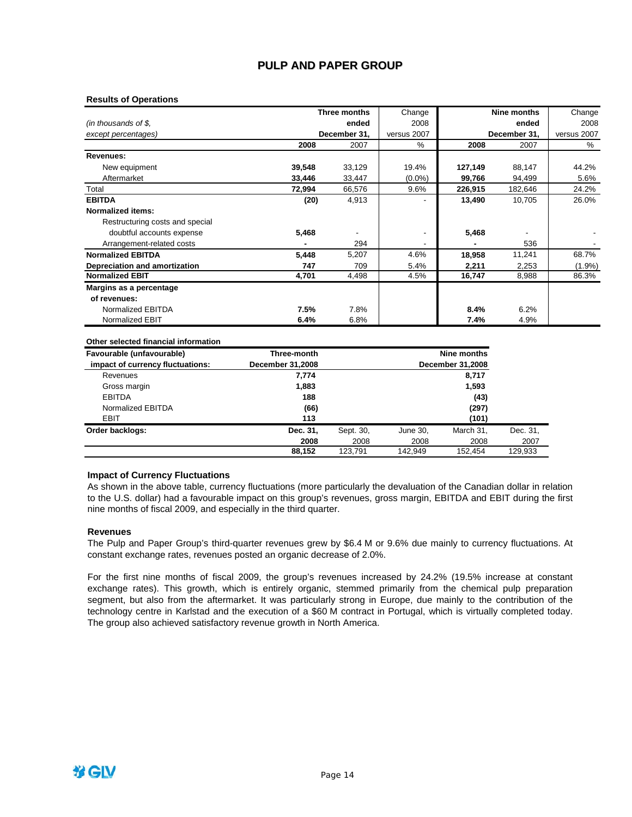## **PULP AND PAPER GROUP**

### **Results of Operations**

|                                 |        | Three months | Change      |         | Nine months  | Change      |
|---------------------------------|--------|--------------|-------------|---------|--------------|-------------|
| (in thousands of \$,            |        | ended        | 2008        |         | ended        | 2008        |
| except percentages)             |        | December 31, | versus 2007 |         | December 31, | versus 2007 |
|                                 | 2008   | 2007         | %           | 2008    | 2007         | %           |
| Revenues:                       |        |              |             |         |              |             |
| New equipment                   | 39,548 | 33,129       | 19.4%       | 127,149 | 88,147       | 44.2%       |
| Aftermarket                     | 33,446 | 33,447       | $(0.0\%)$   | 99,766  | 94,499       | 5.6%        |
| Total                           | 72,994 | 66,576       | 9.6%        | 226,915 | 182,646      | 24.2%       |
| <b>EBITDA</b>                   | (20)   | 4,913        |             | 13,490  | 10,705       | 26.0%       |
| <b>Normalized items:</b>        |        |              |             |         |              |             |
| Restructuring costs and special |        |              |             |         |              |             |
| doubtful accounts expense       | 5,468  |              |             | 5,468   |              |             |
| Arrangement-related costs       |        | 294          |             |         | 536          |             |
| <b>Normalized EBITDA</b>        | 5,448  | 5,207        | 4.6%        | 18,958  | 11,241       | 68.7%       |
| Depreciation and amortization   | 747    | 709          | 5.4%        | 2,211   | 2,253        | $(1.9\%)$   |
| <b>Normalized EBIT</b>          | 4,701  | 4,498        | 4.5%        | 16,747  | 8,988        | 86.3%       |
| Margins as a percentage         |        |              |             |         |              |             |
| of revenues:                    |        |              |             |         |              |             |
| Normalized EBITDA               | 7.5%   | 7.8%         |             | 8.4%    | 6.2%         |             |
| <b>Normalized EBIT</b>          | 6.4%   | 6.8%         |             | 7.4%    | 4.9%         |             |

### **Other selected financial information**

| Favourable (unfavourable)        | Three-month             |           |          | Nine months             |          |
|----------------------------------|-------------------------|-----------|----------|-------------------------|----------|
| impact of currency fluctuations: | <b>December 31,2008</b> |           |          | <b>December 31,2008</b> |          |
| Revenues                         | 7,774                   |           |          | 8,717                   |          |
| Gross margin                     | 1,883                   | 1,593     |          |                         |          |
| <b>EBITDA</b>                    | 188<br>(43)             |           |          |                         |          |
| Normalized EBITDA                | (66)                    |           |          | (297)                   |          |
| EBIT                             | 113                     |           |          | (101)                   |          |
| Order backlogs:                  | Dec. 31,                | Sept. 30, | June 30, | March 31,               | Dec. 31, |
|                                  | 2008                    | 2008      | 2008     | 2008                    | 2007     |
|                                  | 88.152                  | 123.791   | 142.949  | 152.454                 | 129.933  |

### **Impact of Currency Fluctuations**

As shown in the above table, currency fluctuations (more particularly the devaluation of the Canadian dollar in relation to the U.S. dollar) had a favourable impact on this group's revenues, gross margin, EBITDA and EBIT during the first nine months of fiscal 2009, and especially in the third quarter.

#### **Revenues**

The Pulp and Paper Group's third-quarter revenues grew by \$6.4 M or 9.6% due mainly to currency fluctuations. At constant exchange rates, revenues posted an organic decrease of 2.0%.

For the first nine months of fiscal 2009, the group's revenues increased by 24.2% (19.5% increase at constant exchange rates). This growth, which is entirely organic, stemmed primarily from the chemical pulp preparation segment, but also from the aftermarket. It was particularly strong in Europe, due mainly to the contribution of the technology centre in Karlstad and the execution of a \$60 M contract in Portugal, which is virtually completed today. The group also achieved satisfactory revenue growth in North America.

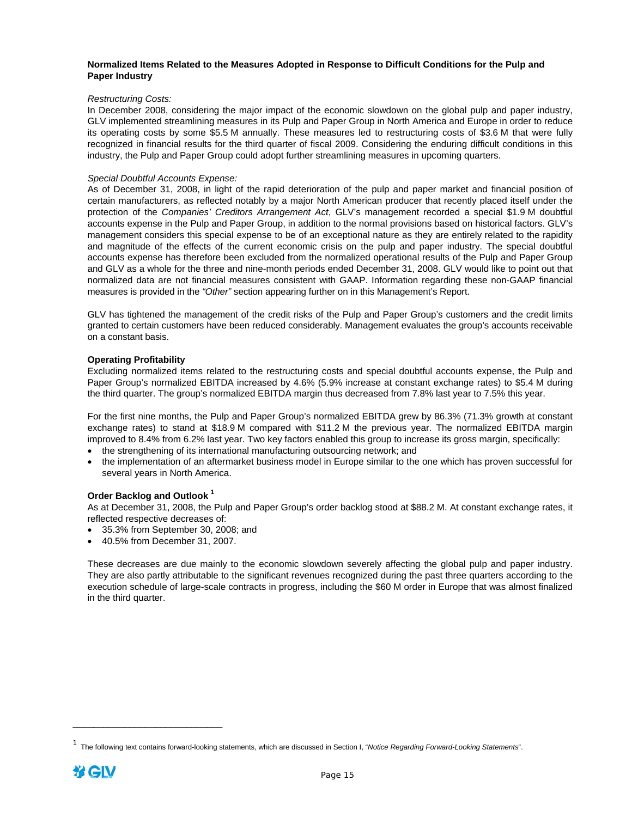### **Normalized Items Related to the Measures Adopted in Response to Difficult Conditions for the Pulp and Paper Industry**

### *Restructuring Costs:*

In December 2008, considering the major impact of the economic slowdown on the global pulp and paper industry, GLV implemented streamlining measures in its Pulp and Paper Group in North America and Europe in order to reduce its operating costs by some \$5.5 M annually. These measures led to restructuring costs of \$3.6 M that were fully recognized in financial results for the third quarter of fiscal 2009. Considering the enduring difficult conditions in this industry, the Pulp and Paper Group could adopt further streamlining measures in upcoming quarters.

### *Special Doubtful Accounts Expense:*

As of December 31, 2008, in light of the rapid deterioration of the pulp and paper market and financial position of certain manufacturers, as reflected notably by a major North American producer that recently placed itself under the protection of the *Companies' Creditors Arrangement Act*, GLV's management recorded a special \$1.9 M doubtful accounts expense in the Pulp and Paper Group, in addition to the normal provisions based on historical factors. GLV's management considers this special expense to be of an exceptional nature as they are entirely related to the rapidity and magnitude of the effects of the current economic crisis on the pulp and paper industry. The special doubtful accounts expense has therefore been excluded from the normalized operational results of the Pulp and Paper Group and GLV as a whole for the three and nine-month periods ended December 31, 2008. GLV would like to point out that normalized data are not financial measures consistent with GAAP. Information regarding these non-GAAP financial measures is provided in the *"Other"* section appearing further on in this Management's Report.

GLV has tightened the management of the credit risks of the Pulp and Paper Group's customers and the credit limits granted to certain customers have been reduced considerably. Management evaluates the group's accounts receivable on a constant basis.

### **Operating Profitability**

Excluding normalized items related to the restructuring costs and special doubtful accounts expense, the Pulp and Paper Group's normalized EBITDA increased by 4.6% (5.9% increase at constant exchange rates) to \$5.4 M during the third quarter. The group's normalized EBITDA margin thus decreased from 7.8% last year to 7.5% this year.

For the first nine months, the Pulp and Paper Group's normalized EBITDA grew by 86.3% (71.3% growth at constant exchange rates) to stand at \$18.9 M compared with \$11.2 M the previous year. The normalized EBITDA margin improved to 8.4% from 6.2% last year. Two key factors enabled this group to increase its gross margin, specifically:

- the strengthening of its international manufacturing outsourcing network; and
- the implementation of an aftermarket business model in Europe similar to the one which has proven successful for several years in North America.

### **Order Backlog and Outlook <sup>1</sup>**

\_\_\_\_\_\_\_\_\_\_\_\_\_\_\_\_\_\_\_\_\_\_\_\_\_\_\_\_\_

As at December 31, 2008, the Pulp and Paper Group's order backlog stood at \$88.2 M. At constant exchange rates, it reflected respective decreases of:

- 35.3% from September 30, 2008; and
- 40.5% from December 31, 2007.

These decreases are due mainly to the economic slowdown severely affecting the global pulp and paper industry. They are also partly attributable to the significant revenues recognized during the past three quarters according to the execution schedule of large-scale contracts in progress, including the \$60 M order in Europe that was almost finalized in the third quarter.

<sup>&</sup>lt;sup>1</sup> The following text contains forward-looking statements, which are discussed in Section I, "*Notice Regarding Forward-Looking Statements*".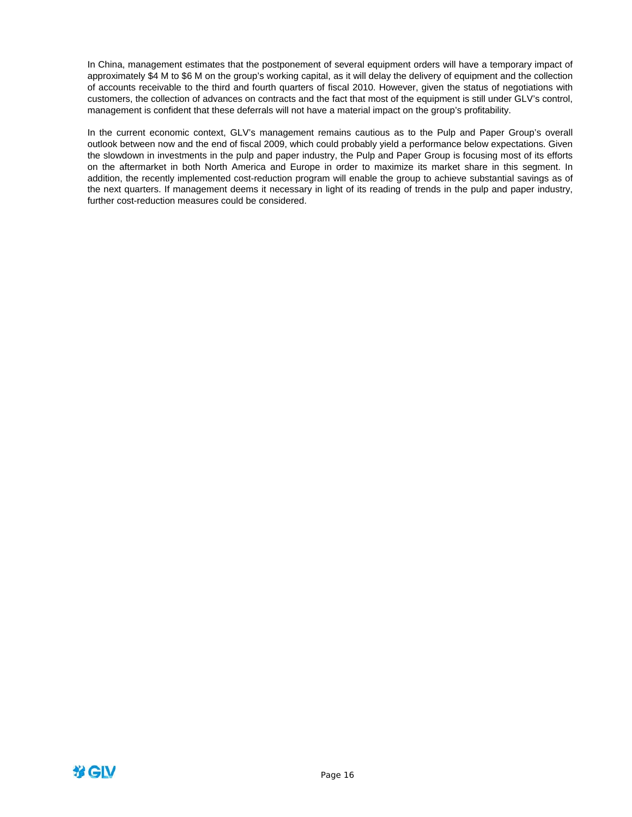In China, management estimates that the postponement of several equipment orders will have a temporary impact of approximately \$4 M to \$6 M on the group's working capital, as it will delay the delivery of equipment and the collection of accounts receivable to the third and fourth quarters of fiscal 2010. However, given the status of negotiations with customers, the collection of advances on contracts and the fact that most of the equipment is still under GLV's control, management is confident that these deferrals will not have a material impact on the group's profitability.

In the current economic context, GLV's management remains cautious as to the Pulp and Paper Group's overall outlook between now and the end of fiscal 2009, which could probably yield a performance below expectations. Given the slowdown in investments in the pulp and paper industry, the Pulp and Paper Group is focusing most of its efforts on the aftermarket in both North America and Europe in order to maximize its market share in this segment. In addition, the recently implemented cost-reduction program will enable the group to achieve substantial savings as of the next quarters. If management deems it necessary in light of its reading of trends in the pulp and paper industry, further cost-reduction measures could be considered.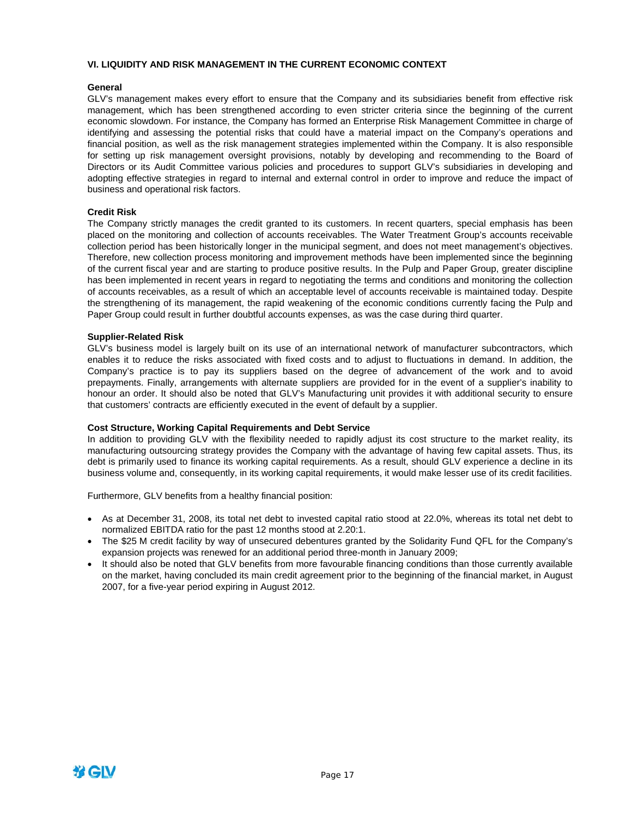### **VI. LIQUIDITY AND RISK MANAGEMENT IN THE CURRENT ECONOMIC CONTEXT**

### **General**

GLV's management makes every effort to ensure that the Company and its subsidiaries benefit from effective risk management, which has been strengthened according to even stricter criteria since the beginning of the current economic slowdown. For instance, the Company has formed an Enterprise Risk Management Committee in charge of identifying and assessing the potential risks that could have a material impact on the Company's operations and financial position, as well as the risk management strategies implemented within the Company. It is also responsible for setting up risk management oversight provisions, notably by developing and recommending to the Board of Directors or its Audit Committee various policies and procedures to support GLV's subsidiaries in developing and adopting effective strategies in regard to internal and external control in order to improve and reduce the impact of business and operational risk factors.

### **Credit Risk**

The Company strictly manages the credit granted to its customers. In recent quarters, special emphasis has been placed on the monitoring and collection of accounts receivables. The Water Treatment Group's accounts receivable collection period has been historically longer in the municipal segment, and does not meet management's objectives. Therefore, new collection process monitoring and improvement methods have been implemented since the beginning of the current fiscal year and are starting to produce positive results. In the Pulp and Paper Group, greater discipline has been implemented in recent years in regard to negotiating the terms and conditions and monitoring the collection of accounts receivables, as a result of which an acceptable level of accounts receivable is maintained today. Despite the strengthening of its management, the rapid weakening of the economic conditions currently facing the Pulp and Paper Group could result in further doubtful accounts expenses, as was the case during third quarter.

### **Supplier-Related Risk**

GLV's business model is largely built on its use of an international network of manufacturer subcontractors, which enables it to reduce the risks associated with fixed costs and to adjust to fluctuations in demand. In addition, the Company's practice is to pay its suppliers based on the degree of advancement of the work and to avoid prepayments. Finally, arrangements with alternate suppliers are provided for in the event of a supplier's inability to honour an order. It should also be noted that GLV's Manufacturing unit provides it with additional security to ensure that customers' contracts are efficiently executed in the event of default by a supplier.

#### **Cost Structure, Working Capital Requirements and Debt Service**

In addition to providing GLV with the flexibility needed to rapidly adjust its cost structure to the market reality, its manufacturing outsourcing strategy provides the Company with the advantage of having few capital assets. Thus, its debt is primarily used to finance its working capital requirements. As a result, should GLV experience a decline in its business volume and, consequently, in its working capital requirements, it would make lesser use of its credit facilities.

Furthermore, GLV benefits from a healthy financial position:

- As at December 31, 2008, its total net debt to invested capital ratio stood at 22.0%, whereas its total net debt to normalized EBITDA ratio for the past 12 months stood at 2.20:1.
- The \$25 M credit facility by way of unsecured debentures granted by the Solidarity Fund QFL for the Company's expansion projects was renewed for an additional period three-month in January 2009;
- It should also be noted that GLV benefits from more favourable financing conditions than those currently available on the market, having concluded its main credit agreement prior to the beginning of the financial market, in August 2007, for a five-year period expiring in August 2012.

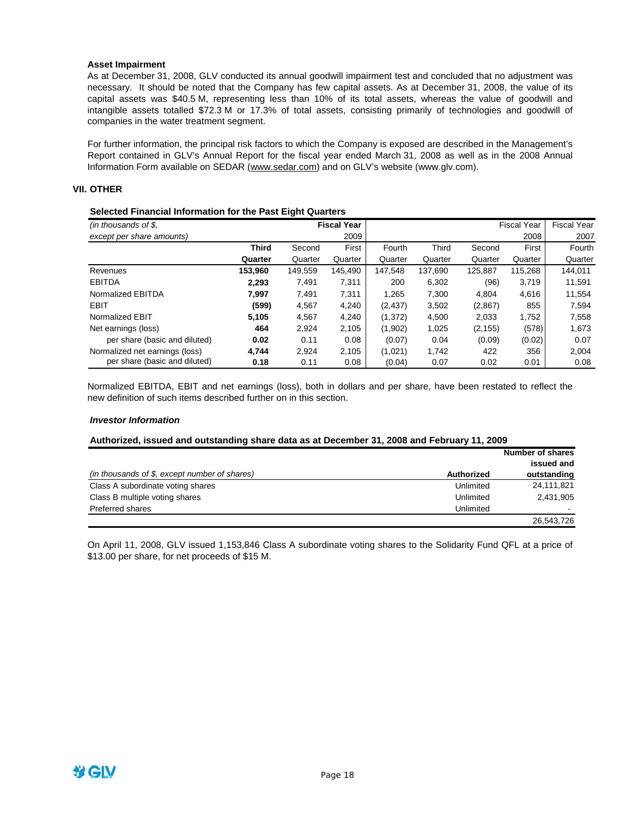### **Asset Impairment**

As at December 31, 2008, GLV conducted its annual goodwill impairment test and concluded that no adjustment was necessary. It should be noted that the Company has few capital assets. As at December 31, 2008, the value of its capital assets was \$40.5 M, representing less than 10% of its total assets, whereas the value of goodwill and intangible assets totalled \$72.3 M or 17.3% of total assets, consisting primarily of technologies and goodwill of companies in the water treatment segment.

For further information, the principal risk factors to which the Company is exposed are described in the Management's Report contained in GLV's Annual Report for the fiscal year ended March 31, 2008 as well as in the 2008 Annual Information Form available on SEDAR (www.sedar.com) and on GLV's website (www.glv.com).

### **VII. OTHER**

### **Selected Financial Information for the Past Eight Quarters**

| (in thousands of $$$ ,         |              | <b>Fiscal Year</b> |         |          |              | <b>Fiscal Year</b> | <b>Fiscal Year</b> |         |
|--------------------------------|--------------|--------------------|---------|----------|--------------|--------------------|--------------------|---------|
| except per share amounts)      |              |                    | 2009    |          |              |                    | 2008               | 2007    |
|                                | <b>Third</b> | Second             | First   | Fourth   | <b>Third</b> | Second             | First              | Fourth  |
|                                | Quarter      | Quarter            | Quarter | Quarter  | Quarter      | Quarter            | Quarter            | Quarter |
| Revenues                       | 153.960      | 149.559            | 145.490 | 147.548  | 137.690      | 125.887            | 115.268            | 144.011 |
| <b>EBITDA</b>                  | 2.293        | 7.491              | 7,311   | 200      | 6.302        | (96)               | 3.719              | 11.591  |
| Normalized EBITDA              | 7.997        | 7.491              | 7,311   | 1.265    | 7.300        | 4.804              | 4,616              | 11,554  |
| EBIT                           | (599)        | 4,567              | 4,240   | (2, 437) | 3,502        | (2,867)            | 855                | 7,594   |
| Normalized EBIT                | 5,105        | 4.567              | 4,240   | (1, 372) | 4,500        | 2,033              | 1,752              | 7.558   |
| Net earnings (loss)            | 464          | 2,924              | 2,105   | (1,902)  | 1,025        | (2, 155)           | (578)              | 1,673   |
| per share (basic and diluted)  | 0.02         | 0.11               | 0.08    | (0.07)   | 0.04         | (0.09)             | (0.02)             | 0.07    |
| Normalized net earnings (loss) | 4.744        | 2.924              | 2.105   | (1,021)  | 1.742        | 422                | 356                | 2,004   |
| per share (basic and diluted)  | 0.18         | 0.11               | 0.08    | (0.04)   | 0.07         | 0.02               | 0.01               | 0.08    |

Normalized EBITDA, EBIT and net earnings (loss), both in dollars and per share, have been restated to reflect the new definition of such items described further on in this section.

### *Investor Information*

#### **Authorized, issued and outstanding share data as at December 31, 2008 and February 11, 2009**

|                                               |            | Number of shares |
|-----------------------------------------------|------------|------------------|
|                                               |            | issued and       |
| (in thousands of \$, except number of shares) | Authorized | outstanding      |
| Class A subordinate voting shares             | Unlimited  | 24,111,821       |
| Class B multiple voting shares                | Unlimited  | 2,431,905        |
| Preferred shares                              | Unlimited  |                  |
|                                               |            | 26,543,726       |

On April 11, 2008, GLV issued 1,153,846 Class A subordinate voting shares to the Solidarity Fund QFL at a price of \$13.00 per share, for net proceeds of \$15 M.

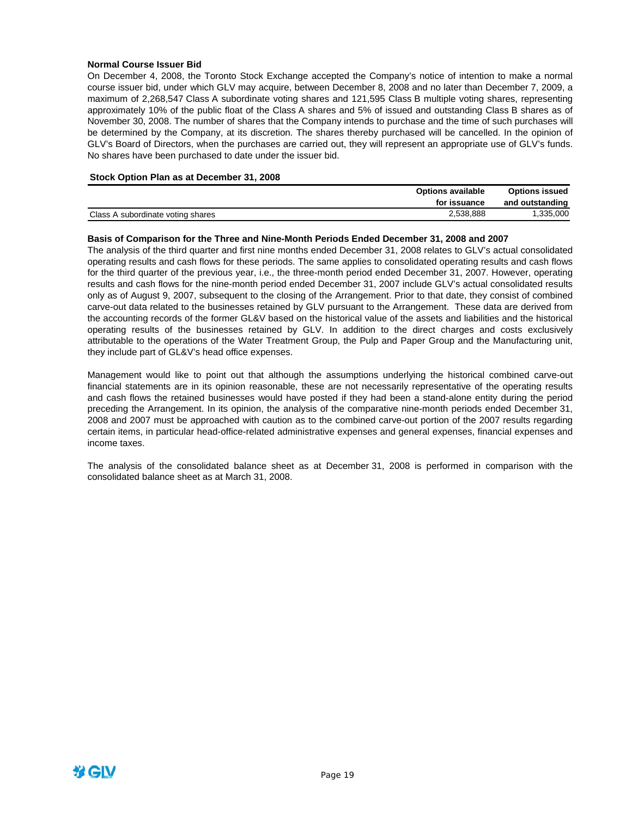### **Normal Course Issuer Bid**

On December 4, 2008, the Toronto Stock Exchange accepted the Company's notice of intention to make a normal course issuer bid, under which GLV may acquire, between December 8, 2008 and no later than December 7, 2009, a maximum of 2,268,547 Class A subordinate voting shares and 121,595 Class B multiple voting shares, representing approximately 10% of the public float of the Class A shares and 5% of issued and outstanding Class B shares as of November 30, 2008. The number of shares that the Company intends to purchase and the time of such purchases will be determined by the Company, at its discretion. The shares thereby purchased will be cancelled. In the opinion of GLV's Board of Directors, when the purchases are carried out, they will represent an appropriate use of GLV's funds. No shares have been purchased to date under the issuer bid.

### **Stock Option Plan as at December 31, 2008**

|                                   | <b>Options available</b> | <b>Options issued</b> |
|-----------------------------------|--------------------------|-----------------------|
|                                   | for issuance             | and outstanding       |
| Class A subordinate voting shares | 2,538,888                | 1.335.000             |

### **Basis of Comparison for the Three and Nine-Month Periods Ended December 31, 2008 and 2007**

The analysis of the third quarter and first nine months ended December 31, 2008 relates to GLV's actual consolidated operating results and cash flows for these periods. The same applies to consolidated operating results and cash flows for the third quarter of the previous year, i.e., the three-month period ended December 31, 2007. However, operating results and cash flows for the nine-month period ended December 31, 2007 include GLV's actual consolidated results only as of August 9, 2007, subsequent to the closing of the Arrangement. Prior to that date, they consist of combined carve-out data related to the businesses retained by GLV pursuant to the Arrangement. These data are derived from the accounting records of the former GL&V based on the historical value of the assets and liabilities and the historical operating results of the businesses retained by GLV. In addition to the direct charges and costs exclusively attributable to the operations of the Water Treatment Group, the Pulp and Paper Group and the Manufacturing unit, they include part of GL&V's head office expenses.

Management would like to point out that although the assumptions underlying the historical combined carve-out financial statements are in its opinion reasonable, these are not necessarily representative of the operating results and cash flows the retained businesses would have posted if they had been a stand-alone entity during the period preceding the Arrangement. In its opinion, the analysis of the comparative nine-month periods ended December 31, 2008 and 2007 must be approached with caution as to the combined carve-out portion of the 2007 results regarding certain items, in particular head-office-related administrative expenses and general expenses, financial expenses and income taxes.

The analysis of the consolidated balance sheet as at December 31, 2008 is performed in comparison with the consolidated balance sheet as at March 31, 2008.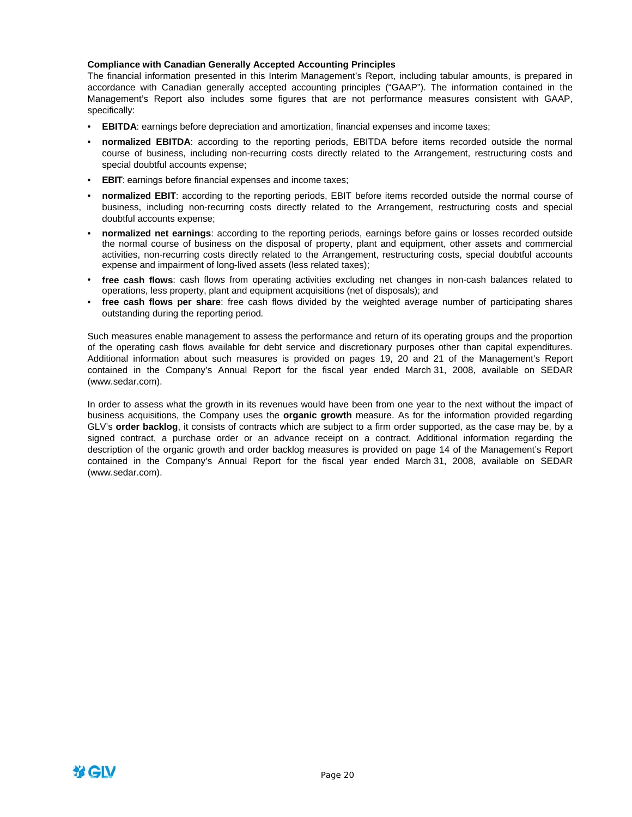### **Compliance with Canadian Generally Accepted Accounting Principles**

The financial information presented in this Interim Management's Report, including tabular amounts, is prepared in accordance with Canadian generally accepted accounting principles ("GAAP"). The information contained in the Management's Report also includes some figures that are not performance measures consistent with GAAP, specifically:

- **EBITDA**: earnings before depreciation and amortization, financial expenses and income taxes;
- **normalized EBITDA**: according to the reporting periods, EBITDA before items recorded outside the normal course of business, including non-recurring costs directly related to the Arrangement, restructuring costs and special doubtful accounts expense;
- **EBIT**: earnings before financial expenses and income taxes;
- **normalized EBIT**: according to the reporting periods, EBIT before items recorded outside the normal course of business, including non-recurring costs directly related to the Arrangement, restructuring costs and special doubtful accounts expense;
- **normalized net earnings**: according to the reporting periods, earnings before gains or losses recorded outside the normal course of business on the disposal of property, plant and equipment, other assets and commercial activities, non-recurring costs directly related to the Arrangement, restructuring costs, special doubtful accounts expense and impairment of long-lived assets (less related taxes);
- **free cash flows**: cash flows from operating activities excluding net changes in non-cash balances related to operations, less property, plant and equipment acquisitions (net of disposals); and
- **free cash flows per share**: free cash flows divided by the weighted average number of participating shares outstanding during the reporting period.

Such measures enable management to assess the performance and return of its operating groups and the proportion of the operating cash flows available for debt service and discretionary purposes other than capital expenditures. Additional information about such measures is provided on pages 19, 20 and 21 of the Management's Report contained in the Company's Annual Report for the fiscal year ended March 31, 2008, available on SEDAR (www.sedar.com).

In order to assess what the growth in its revenues would have been from one year to the next without the impact of business acquisitions, the Company uses the **organic growth** measure. As for the information provided regarding GLV's **order backlog**, it consists of contracts which are subject to a firm order supported, as the case may be, by a signed contract, a purchase order or an advance receipt on a contract. Additional information regarding the description of the organic growth and order backlog measures is provided on page 14 of the Management's Report contained in the Company's Annual Report for the fiscal year ended March 31, 2008, available on SEDAR (www.sedar.com).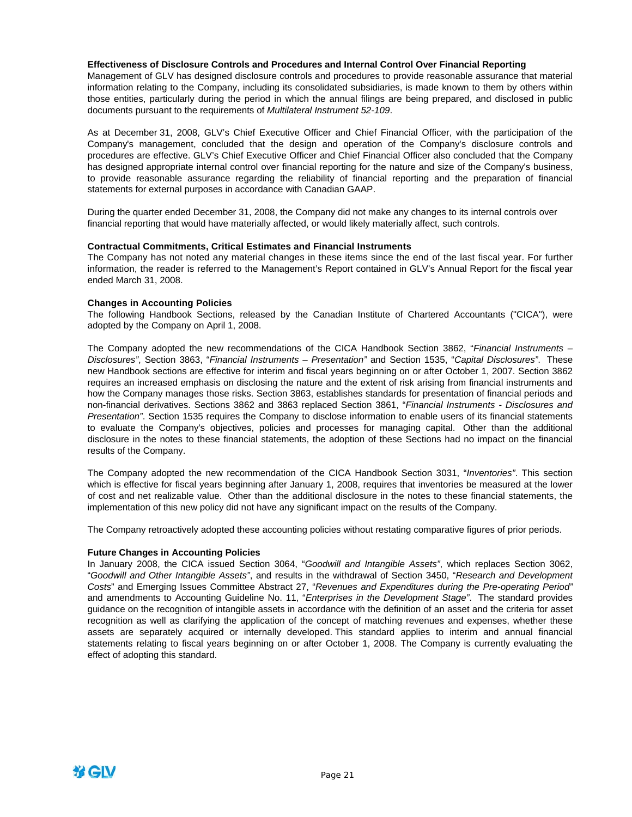### **Effectiveness of Disclosure Controls and Procedures and Internal Control Over Financial Reporting**

Management of GLV has designed disclosure controls and procedures to provide reasonable assurance that material information relating to the Company, including its consolidated subsidiaries, is made known to them by others within those entities, particularly during the period in which the annual filings are being prepared, and disclosed in public documents pursuant to the requirements of *Multilateral Instrument 52-109*.

As at December 31, 2008, GLV's Chief Executive Officer and Chief Financial Officer, with the participation of the Company's management, concluded that the design and operation of the Company's disclosure controls and procedures are effective. GLV's Chief Executive Officer and Chief Financial Officer also concluded that the Company has designed appropriate internal control over financial reporting for the nature and size of the Company's business, to provide reasonable assurance regarding the reliability of financial reporting and the preparation of financial statements for external purposes in accordance with Canadian GAAP.

During the quarter ended December 31, 2008, the Company did not make any changes to its internal controls over financial reporting that would have materially affected, or would likely materially affect, such controls.

### **Contractual Commitments, Critical Estimates and Financial Instruments**

The Company has not noted any material changes in these items since the end of the last fiscal year. For further information, the reader is referred to the Management's Report contained in GLV's Annual Report for the fiscal year ended March 31, 2008.

#### **Changes in Accounting Policies**

The following Handbook Sections, released by the Canadian Institute of Chartered Accountants ("CICA"), were adopted by the Company on April 1, 2008.

The Company adopted the new recommendations of the CICA Handbook Section 3862, "*Financial Instruments – Disclosures"*, Section 3863, "*Financial Instruments – Presentation"* and Section 1535, "*Capital Disclosures"*. These new Handbook sections are effective for interim and fiscal years beginning on or after October 1, 2007. Section 3862 requires an increased emphasis on disclosing the nature and the extent of risk arising from financial instruments and how the Company manages those risks. Section 3863, establishes standards for presentation of financial periods and non-financial derivatives. Sections 3862 and 3863 replaced Section 3861, "*Financial Instruments - Disclosures and Presentation"*. Section 1535 requires the Company to disclose information to enable users of its financial statements to evaluate the Company's objectives, policies and processes for managing capital. Other than the additional disclosure in the notes to these financial statements, the adoption of these Sections had no impact on the financial results of the Company.

The Company adopted the new recommendation of the CICA Handbook Section 3031, "*Inventories"*. This section which is effective for fiscal years beginning after January 1, 2008, requires that inventories be measured at the lower of cost and net realizable value. Other than the additional disclosure in the notes to these financial statements, the implementation of this new policy did not have any significant impact on the results of the Company.

The Company retroactively adopted these accounting policies without restating comparative figures of prior periods.

#### **Future Changes in Accounting Policies**

In January 2008, the CICA issued Section 3064, "*Goodwill and Intangible Assets"*, which replaces Section 3062, "*Goodwill and Other Intangible Assets"*, and results in the withdrawal of Section 3450, "*Research and Development Costs*" and Emerging Issues Committee Abstract 27, "*Revenues and Expenditures during the Pre-operating Period"* and amendments to Accounting Guideline No. 11, "*Enterprises in the Development Stage"*. The standard provides guidance on the recognition of intangible assets in accordance with the definition of an asset and the criteria for asset recognition as well as clarifying the application of the concept of matching revenues and expenses, whether these assets are separately acquired or internally developed. This standard applies to interim and annual financial statements relating to fiscal years beginning on or after October 1, 2008. The Company is currently evaluating the effect of adopting this standard.